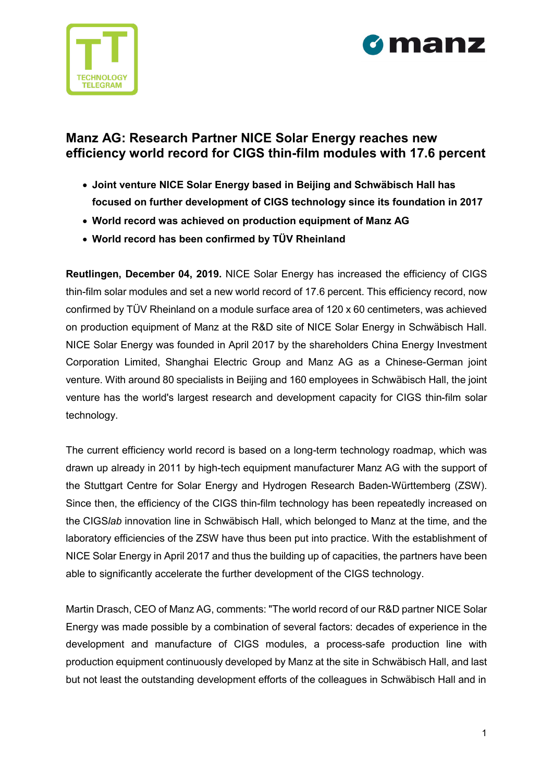



# **Manz AG: Research Partner NICE Solar Energy reaches new efficiency world record for CIGS thin-film modules with 17.6 percent**

- **Joint venture NICE Solar Energy based in Beijing and Schwäbisch Hall has focused on further development of CIGS technology since its foundation in 2017**
- **World record was achieved on production equipment of Manz AG**
- **World record has been confirmed by TÜV Rheinland**

**Reutlingen, December 04, 2019.** NICE Solar Energy has increased the efficiency of CIGS thin-film solar modules and set a new world record of 17.6 percent. This efficiency record, now confirmed by TÜV Rheinland on a module surface area of 120 x 60 centimeters, was achieved on production equipment of Manz at the R&D site of NICE Solar Energy in Schwäbisch Hall. NICE Solar Energy was founded in April 2017 by the shareholders China Energy Investment Corporation Limited, Shanghai Electric Group and Manz AG as a Chinese-German joint venture. With around 80 specialists in Beijing and 160 employees in Schwäbisch Hall, the joint venture has the world's largest research and development capacity for CIGS thin-film solar technology.

The current efficiency world record is based on a long-term technology roadmap, which was drawn up already in 2011 by high-tech equipment manufacturer Manz AG with the support of the Stuttgart Centre for Solar Energy and Hydrogen Research Baden-Württemberg (ZSW). Since then, the efficiency of the CIGS thin-film technology has been repeatedly increased on the CIGS*lab* innovation line in Schwäbisch Hall, which belonged to Manz at the time, and the laboratory efficiencies of the ZSW have thus been put into practice. With the establishment of NICE Solar Energy in April 2017 and thus the building up of capacities, the partners have been able to significantly accelerate the further development of the CIGS technology.

Martin Drasch, CEO of Manz AG, comments: "The world record of our R&D partner NICE Solar Energy was made possible by a combination of several factors: decades of experience in the development and manufacture of CIGS modules, a process-safe production line with production equipment continuously developed by Manz at the site in Schwäbisch Hall, and last but not least the outstanding development efforts of the colleagues in Schwäbisch Hall and in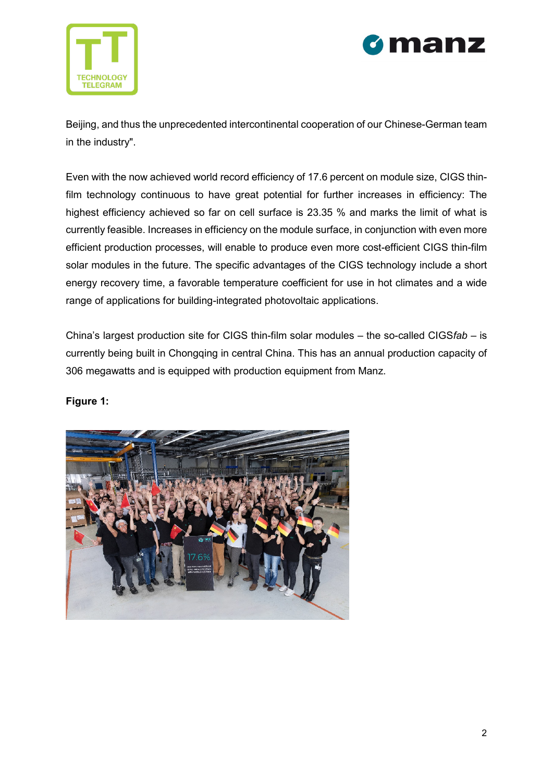



Beijing, and thus the unprecedented intercontinental cooperation of our Chinese-German team in the industry".

Even with the now achieved world record efficiency of 17.6 percent on module size, CIGS thinfilm technology continuous to have great potential for further increases in efficiency: The highest efficiency achieved so far on cell surface is 23.35 % and marks the limit of what is currently feasible. Increases in efficiency on the module surface, in conjunction with even more efficient production processes, will enable to produce even more cost-efficient CIGS thin-film solar modules in the future. The specific advantages of the CIGS technology include a short energy recovery time, a favorable temperature coefficient for use in hot climates and a wide range of applications for building-integrated photovoltaic applications.

China's largest production site for CIGS thin-film solar modules – the so-called CIGS*fab* – is currently being built in Chongqing in central China. This has an annual production capacity of 306 megawatts and is equipped with production equipment from Manz.

## **Figure 1:**